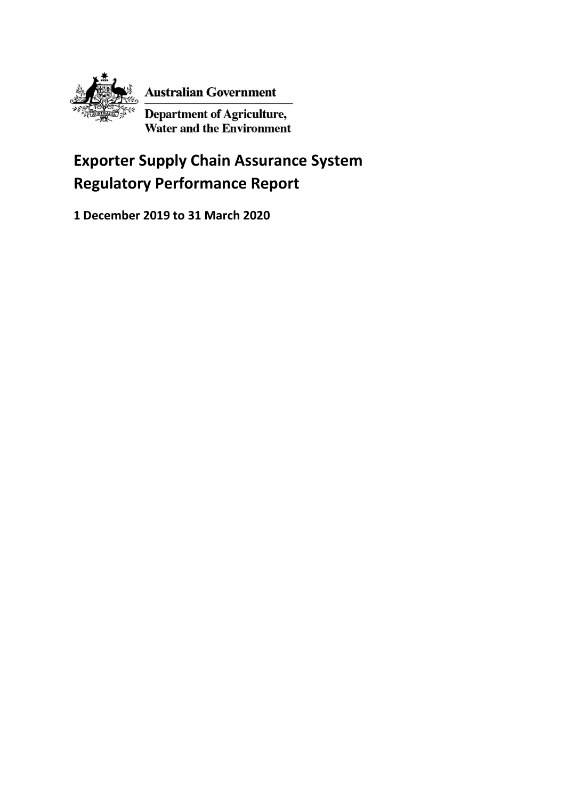

**Australian Government** 

Department of Agriculture,<br>Water and the Environment

# **Exporter Supply Chain Assurance System Regulatory Performance Report**

**1 December 2019 to 31 March 2020**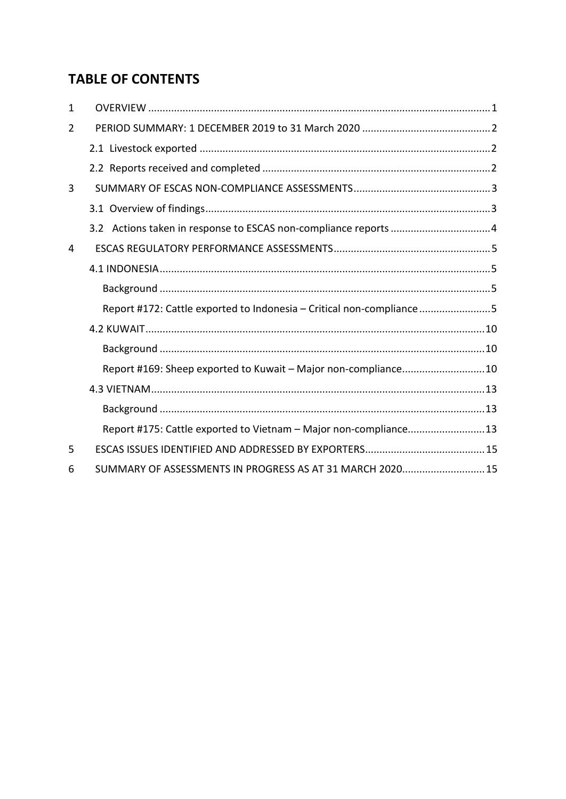# **TABLE OF CONTENTS**

| 1 |                                                                      |
|---|----------------------------------------------------------------------|
| 2 |                                                                      |
|   |                                                                      |
|   |                                                                      |
| 3 |                                                                      |
|   |                                                                      |
|   |                                                                      |
| 4 |                                                                      |
|   |                                                                      |
|   |                                                                      |
|   | Report #172: Cattle exported to Indonesia - Critical non-compliance5 |
|   |                                                                      |
|   |                                                                      |
|   | Report #169: Sheep exported to Kuwait - Major non-compliance10       |
|   |                                                                      |
|   |                                                                      |
|   | Report #175: Cattle exported to Vietnam - Major non-compliance13     |
| 5 |                                                                      |
| 6 | SUMMARY OF ASSESSMENTS IN PROGRESS AS AT 31 MARCH 2020 15            |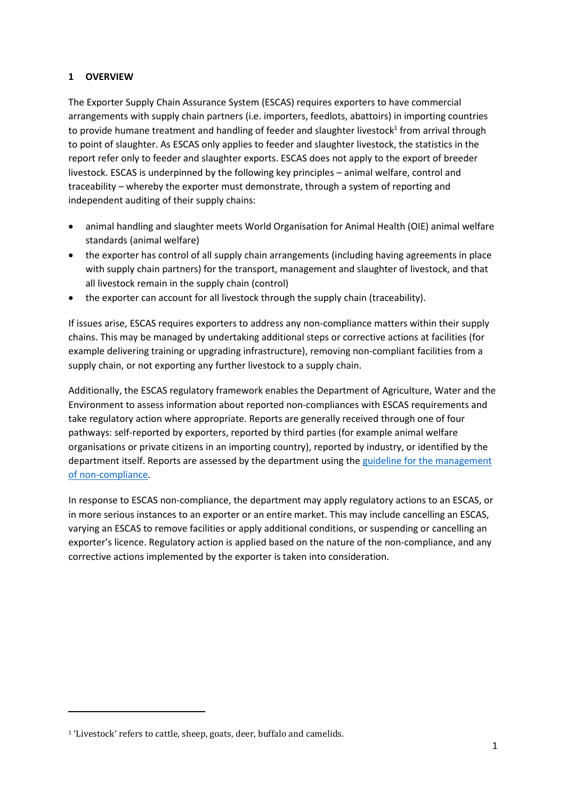# <span id="page-2-0"></span>**1 OVERVIEW**

The Exporter Supply Chain Assurance System (ESCAS) requires exporters to have commercial arrangements with supply chain partners (i.e. importers, feedlots, abattoirs) in importing countries to provide humane treatment and handling of feeder and slaughter livestock<sup>1</sup> from arrival through to point of slaughter. As ESCAS only applies to feeder and slaughter livestock, the statistics in the report refer only to feeder and slaughter exports. ESCAS does not apply to the export of breeder livestock. ESCAS is underpinned by the following key principles – animal welfare, control and traceability – whereby the exporter must demonstrate, through a system of reporting and independent auditing of their supply chains:

- animal handling and slaughter meets World Organisation for Animal Health (OIE) animal welfare standards (animal welfare)
- the exporter has control of all supply chain arrangements (including having agreements in place with supply chain partners) for the transport, management and slaughter of livestock, and that all livestock remain in the supply chain (control)
- the exporter can account for all livestock through the supply chain (traceability).

If issues arise, ESCAS requires exporters to address any non-compliance matters within their supply chains. This may be managed by undertaking additional steps or corrective actions at facilities (for example delivering training or upgrading infrastructure), removing non-compliant facilities from a supply chain, or not exporting any further livestock to a supply chain.

Additionally, the ESCAS regulatory framework enables the Department of Agriculture, Water and the Environment to assess information about reported non-compliances with ESCAS requirements and take regulatory action where appropriate. Reports are generally received through one of four pathways: self-reported by exporters, reported by third parties (for example animal welfare organisations or private citizens in an importing country), reported by industry, or identified by the department itself. Reports are assessed by the department using the guideline for the management [of non-compliance](http://www.agriculture.gov.au/export/controlled-goods/live-animals/livestock/regulatory-framework/compliance-investigations/non-compliance)*.* 

In response to ESCAS non-compliance, the department may apply regulatory actions to an ESCAS, or in more serious instances to an exporter or an entire market. This may include cancelling an ESCAS, varying an ESCAS to remove facilities or apply additional conditions, or suspending or cancelling an exporter's licence. Regulatory action is applied based on the nature of the non-compliance, and any corrective actions implemented by the exporter is taken into consideration.

1

<sup>&</sup>lt;sup>1</sup> 'Livestock' refers to cattle, sheep, goats, deer, buffalo and camelids.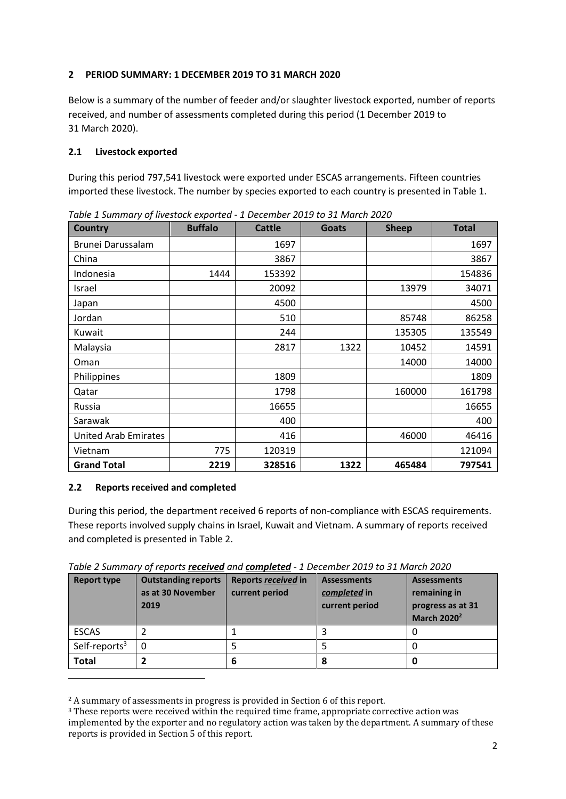# <span id="page-3-0"></span>**2 PERIOD SUMMARY: 1 DECEMBER 2019 TO 31 MARCH 2020**

Below is a summary of the number of feeder and/or slaughter livestock exported, number of reports received, and number of assessments completed during this period (1 December 2019 to 31 March 2020).

# <span id="page-3-1"></span>**2.1 Livestock exported**

During this period 797,541 livestock were exported under ESCAS arrangements. Fifteen countries imported these livestock. The number by species exported to each country is presented in Table 1.

| <b>Country</b>              | <b>Buffalo</b> | <b>Cattle</b> | <b>Goats</b> | <b>Sheep</b> | <b>Total</b> |
|-----------------------------|----------------|---------------|--------------|--------------|--------------|
| Brunei Darussalam           |                | 1697          |              |              | 1697         |
| China                       |                | 3867          |              |              | 3867         |
| Indonesia                   | 1444           | 153392        |              |              | 154836       |
| Israel                      |                | 20092         |              | 13979        | 34071        |
| Japan                       |                | 4500          |              |              | 4500         |
| Jordan                      |                | 510           |              | 85748        | 86258        |
| Kuwait                      |                | 244           |              | 135305       | 135549       |
| Malaysia                    |                | 2817          | 1322         | 10452        | 14591        |
| Oman                        |                |               |              | 14000        | 14000        |
| Philippines                 |                | 1809          |              |              | 1809         |
| Qatar                       |                | 1798          |              | 160000       | 161798       |
| Russia                      |                | 16655         |              |              | 16655        |
| Sarawak                     |                | 400           |              |              | 400          |
| <b>United Arab Emirates</b> |                | 416           |              | 46000        | 46416        |
| Vietnam                     | 775            | 120319        |              |              | 121094       |
| <b>Grand Total</b>          | 2219           | 328516        | 1322         | 465484       | 797541       |

*Table 1 Summary of livestock exported - 1 December 2019 to 31 March 2020* 

# <span id="page-3-2"></span>**2.2 Reports received and completed**

During this period, the department received 6 reports of non-compliance with ESCAS requirements. These reports involved supply chains in Israel, Kuwait and Vietnam. A summary of reports received and completed is presented in Table 2.

| Table 2 Summary of reports <i>received</i> and <i>completed</i> - 1 December 2019 to 31 March 2020 |  |
|----------------------------------------------------------------------------------------------------|--|
|----------------------------------------------------------------------------------------------------|--|

| <b>Report type</b>        | <b>Outstanding reports</b><br>as at 30 November<br>2019 | Reports received in<br>current period | <b>Assessments</b><br>completed in<br>current period | <b>Assessments</b><br>remaining in<br>progress as at 31<br><b>March 2020<sup>2</sup></b> |
|---------------------------|---------------------------------------------------------|---------------------------------------|------------------------------------------------------|------------------------------------------------------------------------------------------|
| <b>ESCAS</b>              |                                                         |                                       | 3                                                    |                                                                                          |
| Self-reports <sup>3</sup> | $\Omega$                                                |                                       |                                                      |                                                                                          |
| <b>Total</b>              |                                                         | 6                                     | 8                                                    | 0                                                                                        |
|                           |                                                         |                                       |                                                      |                                                                                          |

<sup>2</sup> A summary of assessments in progress is provided in Section 6 of this report.

<sup>&</sup>lt;sup>3</sup> These reports were received within the required time frame, appropriate corrective action was implemented by the exporter and no regulatory action was taken by the department. A summary of these reports is provided in Section 5 of this report.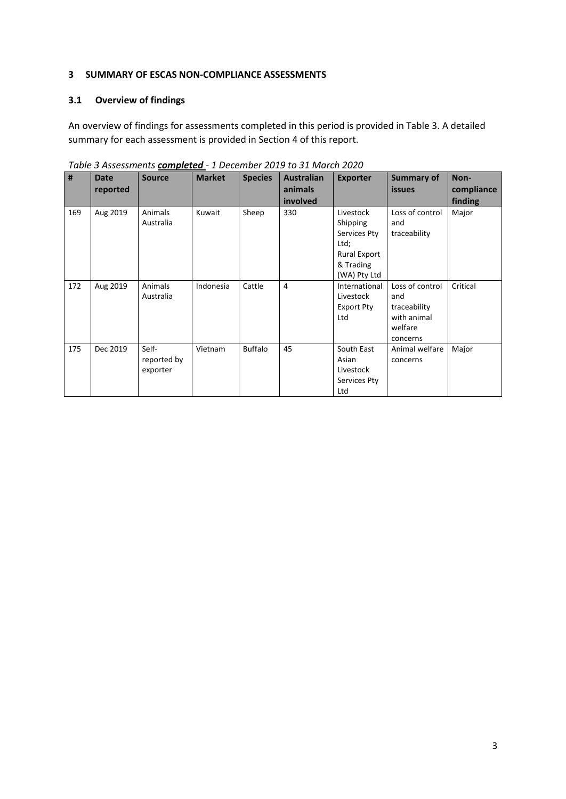#### <span id="page-4-0"></span>**3 SUMMARY OF ESCAS NON-COMPLIANCE ASSESSMENTS**

# <span id="page-4-1"></span>**3.1 Overview of findings**

An overview of findings for assessments completed in this period is provided in Table 3. A detailed summary for each assessment is provided in Section 4 of this report.

| $\#$ | <b>Date</b> | <b>Source</b> | <b>Market</b> | <b>Species</b> | <b>Australian</b> | <b>Exporter</b>     | <b>Summary of</b> | Non-       |
|------|-------------|---------------|---------------|----------------|-------------------|---------------------|-------------------|------------|
|      |             |               |               |                |                   |                     |                   |            |
|      | reported    |               |               |                | animals           |                     | <b>issues</b>     | compliance |
|      |             |               |               |                | involved          |                     |                   | finding    |
| 169  | Aug 2019    | Animals       | Kuwait        | Sheep          | 330               | Livestock           | Loss of control   | Major      |
|      |             | Australia     |               |                |                   | Shipping            | and               |            |
|      |             |               |               |                |                   | Services Pty        | traceability      |            |
|      |             |               |               |                |                   | Ltd;                |                   |            |
|      |             |               |               |                |                   | <b>Rural Export</b> |                   |            |
|      |             |               |               |                |                   | & Trading           |                   |            |
|      |             |               |               |                |                   | (WA) Pty Ltd        |                   |            |
| 172  | Aug 2019    | Animals       | Indonesia     | Cattle         | $\overline{4}$    | International       | Loss of control   | Critical   |
|      |             | Australia     |               |                |                   | Livestock           | and               |            |
|      |             |               |               |                |                   | <b>Export Pty</b>   | traceability      |            |
|      |             |               |               |                |                   | Ltd                 | with animal       |            |
|      |             |               |               |                |                   |                     | welfare           |            |
|      |             |               |               |                |                   |                     | concerns          |            |
| 175  | Dec 2019    | Self-         | Vietnam       | <b>Buffalo</b> | 45                | South East          | Animal welfare    | Major      |
|      |             | reported by   |               |                |                   | Asian               | concerns          |            |
|      |             | exporter      |               |                |                   | Livestock           |                   |            |
|      |             |               |               |                |                   | Services Pty        |                   |            |
|      |             |               |               |                |                   | Ltd                 |                   |            |

*Table 3 Assessments completed - 1 December 2019 to 31 March 2020*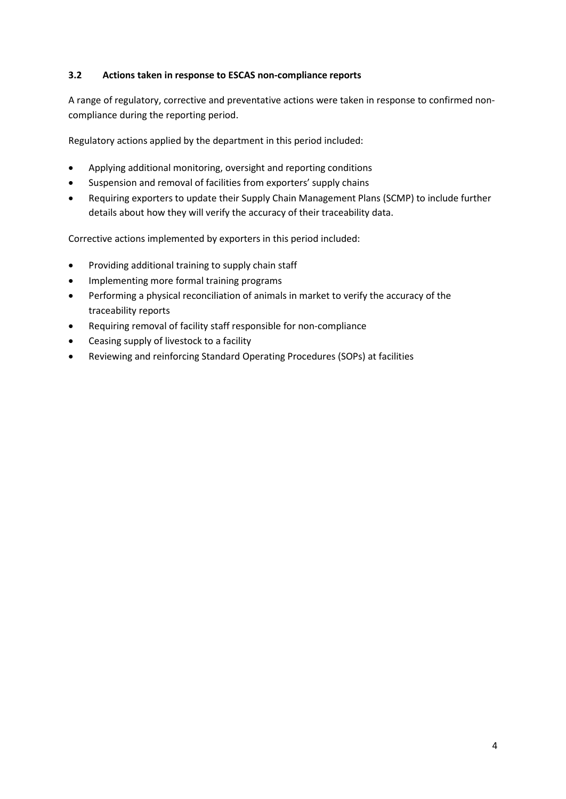# <span id="page-5-0"></span>**3.2 Actions taken in response to ESCAS non-compliance reports**

A range of regulatory, corrective and preventative actions were taken in response to confirmed noncompliance during the reporting period.

Regulatory actions applied by the department in this period included:

- Applying additional monitoring, oversight and reporting conditions
- Suspension and removal of facilities from exporters' supply chains
- Requiring exporters to update their Supply Chain Management Plans (SCMP) to include further details about how they will verify the accuracy of their traceability data.

Corrective actions implemented by exporters in this period included:

- Providing additional training to supply chain staff
- Implementing more formal training programs
- Performing a physical reconciliation of animals in market to verify the accuracy of the traceability reports
- Requiring removal of facility staff responsible for non-compliance
- Ceasing supply of livestock to a facility
- Reviewing and reinforcing Standard Operating Procedures (SOPs) at facilities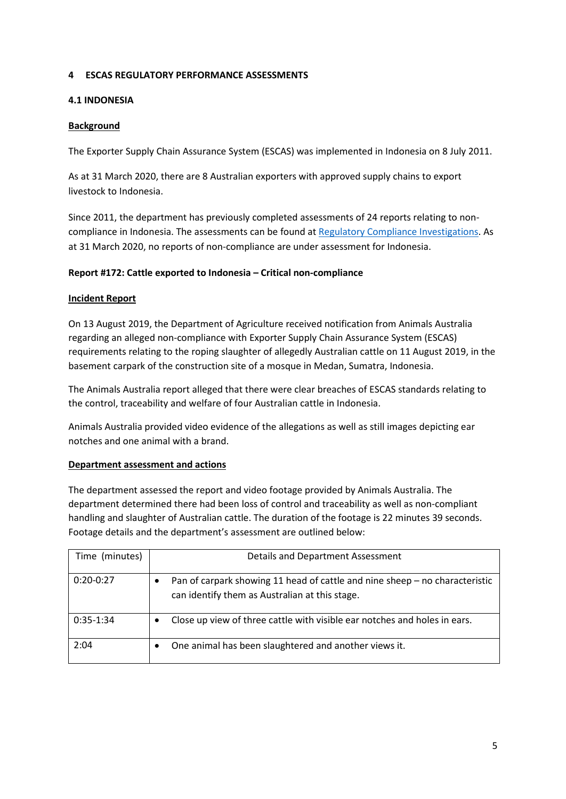#### <span id="page-6-0"></span>**4 ESCAS REGULATORY PERFORMANCE ASSESSMENTS**

#### <span id="page-6-1"></span>**4.1 INDONESIA**

#### <span id="page-6-2"></span>**Background**

The Exporter Supply Chain Assurance System (ESCAS) was implemented in Indonesia on 8 July 2011.

As at 31 March 2020, there are 8 Australian exporters with approved supply chains to export livestock to Indonesia.

Since 2011, the department has previously completed assessments of 24 reports relating to noncompliance in Indonesia. The assessments can be found at [Regulatory Compliance Investigations.](http://www.agriculture.gov.au/export/controlled-goods/live-animals/livestock/regulatory-framework/compliance-investigations/investigations-regulatory-compliance) As at 31 March 2020, no reports of non-compliance are under assessment for Indonesia.

# <span id="page-6-3"></span>**Report #172: Cattle exported to Indonesia – Critical non-compliance**

#### **Incident Report**

On 13 August 2019, the Department of Agriculture received notification from Animals Australia regarding an alleged non-compliance with Exporter Supply Chain Assurance System (ESCAS) requirements relating to the roping slaughter of allegedly Australian cattle on 11 August 2019, in the basement carpark of the construction site of a mosque in Medan, Sumatra, Indonesia.

The Animals Australia report alleged that there were clear breaches of ESCAS standards relating to the control, traceability and welfare of four Australian cattle in Indonesia.

Animals Australia provided video evidence of the allegations as well as still images depicting ear notches and one animal with a brand.

#### **Department assessment and actions**

The department assessed the report and video footage provided by Animals Australia. The department determined there had been loss of control and traceability as well as non-compliant handling and slaughter of Australian cattle. The duration of the footage is 22 minutes 39 seconds. Footage details and the department's assessment are outlined below:

| Time (minutes) | Details and Department Assessment                                                                                             |
|----------------|-------------------------------------------------------------------------------------------------------------------------------|
| $0:20-0:27$    | Pan of carpark showing 11 head of cattle and nine sheep – no characteristic<br>can identify them as Australian at this stage. |
| $0:35-1:34$    | Close up view of three cattle with visible ear notches and holes in ears.<br>٠                                                |
| 2:04           | One animal has been slaughtered and another views it.<br>٠                                                                    |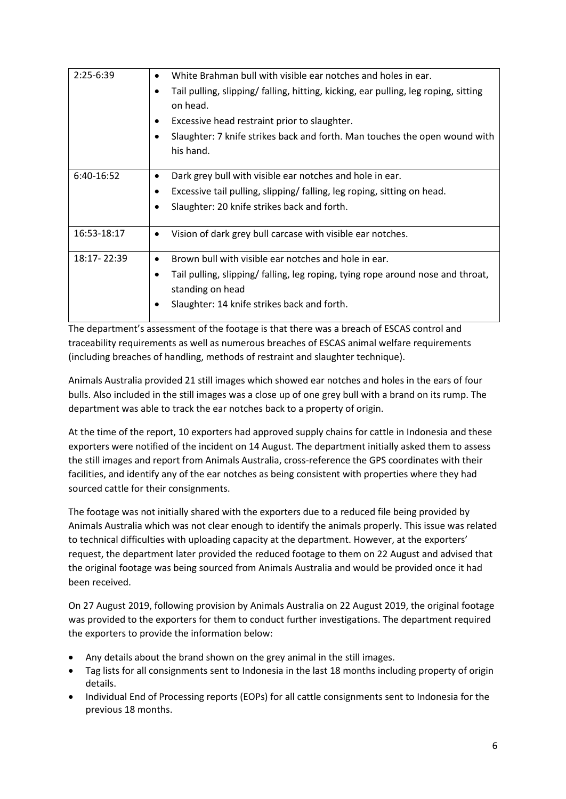| $2:25-6:39$ | White Brahman bull with visible ear notches and holes in ear.<br>$\bullet$<br>Tail pulling, slipping/ falling, hitting, kicking, ear pulling, leg roping, sitting<br>on head.<br>Excessive head restraint prior to slaughter.<br>٠<br>Slaughter: 7 knife strikes back and forth. Man touches the open wound with |
|-------------|------------------------------------------------------------------------------------------------------------------------------------------------------------------------------------------------------------------------------------------------------------------------------------------------------------------|
|             | his hand.                                                                                                                                                                                                                                                                                                        |
| 6:40-16:52  | Dark grey bull with visible ear notches and hole in ear.<br>Excessive tail pulling, slipping/falling, leg roping, sitting on head.<br>٠<br>Slaughter: 20 knife strikes back and forth.                                                                                                                           |
| 16:53-18:17 | Vision of dark grey bull carcase with visible ear notches.<br>٠                                                                                                                                                                                                                                                  |
| 18:17-22:39 | Brown bull with visible ear notches and hole in ear.<br>$\bullet$<br>Tail pulling, slipping/ falling, leg roping, tying rope around nose and throat,<br>٠<br>standing on head<br>Slaughter: 14 knife strikes back and forth.                                                                                     |

The department's assessment of the footage is that there was a breach of ESCAS control and traceability requirements as well as numerous breaches of ESCAS animal welfare requirements (including breaches of handling, methods of restraint and slaughter technique).

Animals Australia provided 21 still images which showed ear notches and holes in the ears of four bulls. Also included in the still images was a close up of one grey bull with a brand on its rump. The department was able to track the ear notches back to a property of origin.

At the time of the report, 10 exporters had approved supply chains for cattle in Indonesia and these exporters were notified of the incident on 14 August. The department initially asked them to assess the still images and report from Animals Australia, cross-reference the GPS coordinates with their facilities, and identify any of the ear notches as being consistent with properties where they had sourced cattle for their consignments.

The footage was not initially shared with the exporters due to a reduced file being provided by Animals Australia which was not clear enough to identify the animals properly. This issue was related to technical difficulties with uploading capacity at the department. However, at the exporters' request, the department later provided the reduced footage to them on 22 August and advised that the original footage was being sourced from Animals Australia and would be provided once it had been received.

On 27 August 2019, following provision by Animals Australia on 22 August 2019, the original footage was provided to the exporters for them to conduct further investigations. The department required the exporters to provide the information below:

- Any details about the brand shown on the grey animal in the still images.
- Tag lists for all consignments sent to Indonesia in the last 18 months including property of origin details.
- Individual End of Processing reports (EOPs) for all cattle consignments sent to Indonesia for the previous 18 months.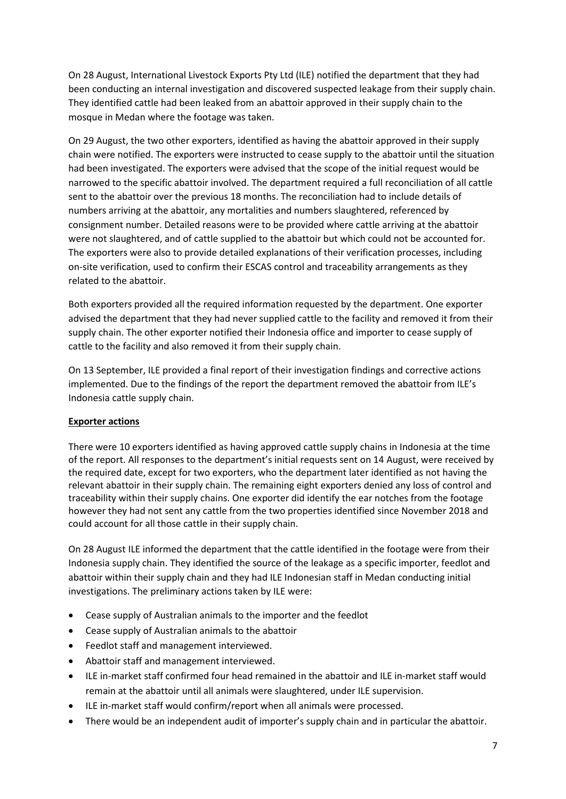On 28 August, International Livestock Exports Pty Ltd (ILE) notified the department that they had been conducting an internal investigation and discovered suspected leakage from their supply chain. They identified cattle had been leaked from an abattoir approved in their supply chain to the mosque in Medan where the footage was taken.

On 29 August, the two other exporters, identified as having the abattoir approved in their supply chain were notified. The exporters were instructed to cease supply to the abattoir until the situation had been investigated. The exporters were advised that the scope of the initial request would be narrowed to the specific abattoir involved. The department required a full reconciliation of all cattle sent to the abattoir over the previous 18 months. The reconciliation had to include details of numbers arriving at the abattoir, any mortalities and numbers slaughtered, referenced by consignment number. Detailed reasons were to be provided where cattle arriving at the abattoir were not slaughtered, and of cattle supplied to the abattoir but which could not be accounted for. The exporters were also to provide detailed explanations of their verification processes, including on-site verification, used to confirm their ESCAS control and traceability arrangements as they related to the abattoir.

Both exporters provided all the required information requested by the department. One exporter advised the department that they had never supplied cattle to the facility and removed it from their supply chain. The other exporter notified their Indonesia office and importer to cease supply of cattle to the facility and also removed it from their supply chain.

On 13 September, ILE provided a final report of their investigation findings and corrective actions implemented. Due to the findings of the report the department removed the abattoir from ILE's Indonesia cattle supply chain.

# **Exporter actions**

There were 10 exporters identified as having approved cattle supply chains in Indonesia at the time of the report. All responses to the department's initial requests sent on 14 August, were received by the required date, except for two exporters, who the department later identified as not having the relevant abattoir in their supply chain. The remaining eight exporters denied any loss of control and traceability within their supply chains. One exporter did identify the ear notches from the footage however they had not sent any cattle from the two properties identified since November 2018 and could account for all those cattle in their supply chain.

On 28 August ILE informed the department that the cattle identified in the footage were from their Indonesia supply chain. They identified the source of the leakage as a specific importer, feedlot and abattoir within their supply chain and they had ILE Indonesian staff in Medan conducting initial investigations. The preliminary actions taken by ILE were:

- Cease supply of Australian animals to the importer and the feedlot
- Cease supply of Australian animals to the abattoir
- Feedlot staff and management interviewed.
- Abattoir staff and management interviewed.
- ILE in-market staff confirmed four head remained in the abattoir and ILE in-market staff would remain at the abattoir until all animals were slaughtered, under ILE supervision.
- ILE in-market staff would confirm/report when all animals were processed.
- There would be an independent audit of importer's supply chain and in particular the abattoir.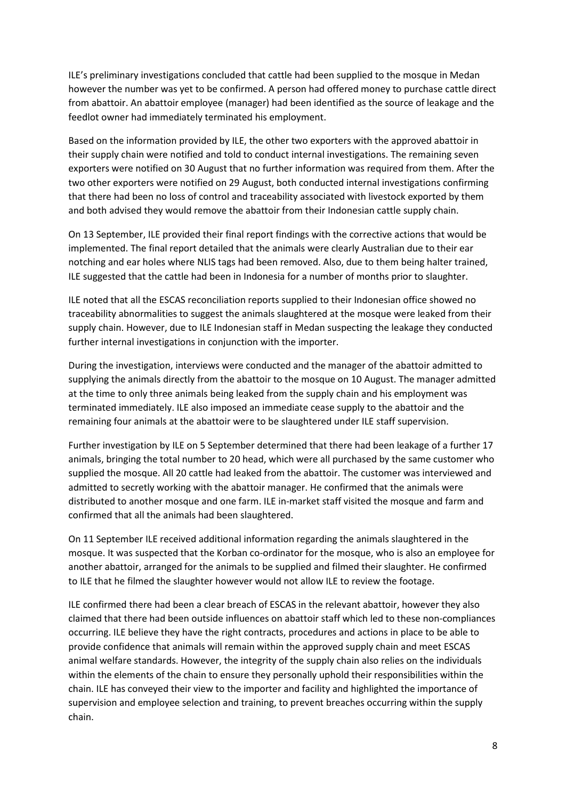ILE's preliminary investigations concluded that cattle had been supplied to the mosque in Medan however the number was yet to be confirmed. A person had offered money to purchase cattle direct from abattoir. An abattoir employee (manager) had been identified as the source of leakage and the feedlot owner had immediately terminated his employment.

Based on the information provided by ILE, the other two exporters with the approved abattoir in their supply chain were notified and told to conduct internal investigations. The remaining seven exporters were notified on 30 August that no further information was required from them. After the two other exporters were notified on 29 August, both conducted internal investigations confirming that there had been no loss of control and traceability associated with livestock exported by them and both advised they would remove the abattoir from their Indonesian cattle supply chain.

On 13 September, ILE provided their final report findings with the corrective actions that would be implemented. The final report detailed that the animals were clearly Australian due to their ear notching and ear holes where NLIS tags had been removed. Also, due to them being halter trained, ILE suggested that the cattle had been in Indonesia for a number of months prior to slaughter.

ILE noted that all the ESCAS reconciliation reports supplied to their Indonesian office showed no traceability abnormalities to suggest the animals slaughtered at the mosque were leaked from their supply chain. However, due to ILE Indonesian staff in Medan suspecting the leakage they conducted further internal investigations in conjunction with the importer.

During the investigation, interviews were conducted and the manager of the abattoir admitted to supplying the animals directly from the abattoir to the mosque on 10 August. The manager admitted at the time to only three animals being leaked from the supply chain and his employment was terminated immediately. ILE also imposed an immediate cease supply to the abattoir and the remaining four animals at the abattoir were to be slaughtered under ILE staff supervision.

Further investigation by ILE on 5 September determined that there had been leakage of a further 17 animals, bringing the total number to 20 head, which were all purchased by the same customer who supplied the mosque. All 20 cattle had leaked from the abattoir. The customer was interviewed and admitted to secretly working with the abattoir manager. He confirmed that the animals were distributed to another mosque and one farm. ILE in-market staff visited the mosque and farm and confirmed that all the animals had been slaughtered.

On 11 September ILE received additional information regarding the animals slaughtered in the mosque. It was suspected that the Korban co-ordinator for the mosque, who is also an employee for another abattoir, arranged for the animals to be supplied and filmed their slaughter. He confirmed to ILE that he filmed the slaughter however would not allow ILE to review the footage.

ILE confirmed there had been a clear breach of ESCAS in the relevant abattoir, however they also claimed that there had been outside influences on abattoir staff which led to these non-compliances occurring. ILE believe they have the right contracts, procedures and actions in place to be able to provide confidence that animals will remain within the approved supply chain and meet ESCAS animal welfare standards. However, the integrity of the supply chain also relies on the individuals within the elements of the chain to ensure they personally uphold their responsibilities within the chain. ILE has conveyed their view to the importer and facility and highlighted the importance of supervision and employee selection and training, to prevent breaches occurring within the supply chain.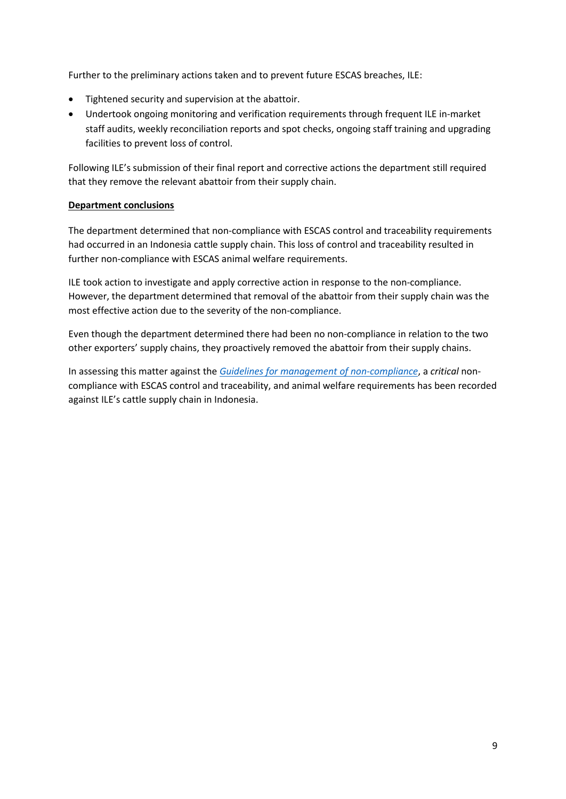Further to the preliminary actions taken and to prevent future ESCAS breaches, ILE:

- Tightened security and supervision at the abattoir.
- Undertook ongoing monitoring and verification requirements through frequent ILE in-market staff audits, weekly reconciliation reports and spot checks, ongoing staff training and upgrading facilities to prevent loss of control.

Following ILE's submission of their final report and corrective actions the department still required that they remove the relevant abattoir from their supply chain.

#### **Department conclusions**

The department determined that non-compliance with ESCAS control and traceability requirements had occurred in an Indonesia cattle supply chain. This loss of control and traceability resulted in further non-compliance with ESCAS animal welfare requirements.

ILE took action to investigate and apply corrective action in response to the non-compliance. However, the department determined that removal of the abattoir from their supply chain was the most effective action due to the severity of the non-compliance.

Even though the department determined there had been no non-compliance in relation to the two other exporters' supply chains, they proactively removed the abattoir from their supply chains.

In assessing this matter against the *Guidelines for management of non-compliance*, a *critical* noncompliance with ESCAS control and traceability, and animal welfare requirements has been recorded against ILE's cattle supply chain in Indonesia.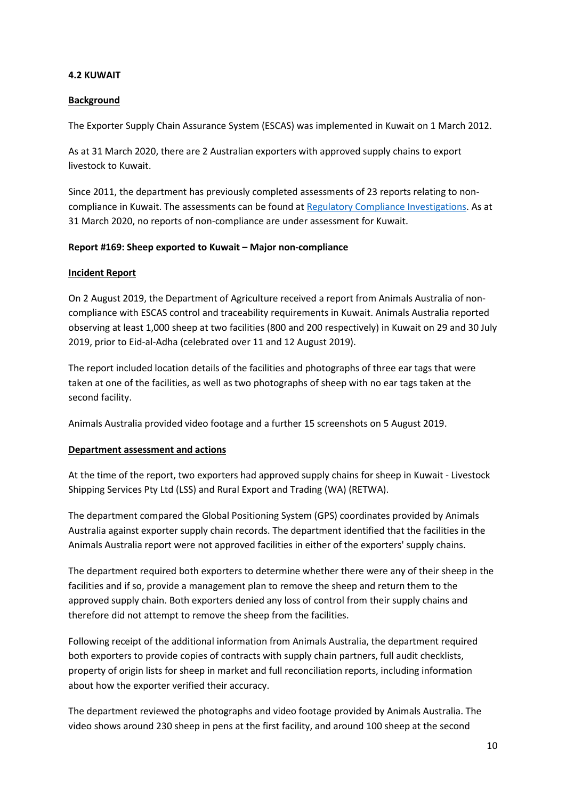#### <span id="page-11-0"></span>**4.2 KUWAIT**

#### <span id="page-11-1"></span>**Background**

The Exporter Supply Chain Assurance System (ESCAS) was implemented in Kuwait on 1 March 2012.

As at 31 March 2020, there are 2 Australian exporters with approved supply chains to export livestock to Kuwait.

Since 2011, the department has previously completed assessments of 23 reports relating to noncompliance in Kuwait. The assessments can be found a[t Regulatory Compliance Investigations.](http://www.agriculture.gov.au/export/controlled-goods/live-animals/livestock/regulatory-framework/compliance-investigations/investigations-regulatory-compliance) As at 31 March 2020, no reports of non-compliance are under assessment for Kuwait.

#### <span id="page-11-2"></span>**Report #169: Sheep exported to Kuwait – Major non-compliance**

#### **Incident Report**

On 2 August 2019, the Department of Agriculture received a report from Animals Australia of noncompliance with ESCAS control and traceability requirements in Kuwait. Animals Australia reported observing at least 1,000 sheep at two facilities (800 and 200 respectively) in Kuwait on 29 and 30 July 2019, prior to Eid-al-Adha (celebrated over 11 and 12 August 2019).

The report included location details of the facilities and photographs of three ear tags that were taken at one of the facilities, as well as two photographs of sheep with no ear tags taken at the second facility.

Animals Australia provided video footage and a further 15 screenshots on 5 August 2019.

#### **Department assessment and actions**

At the time of the report, two exporters had approved supply chains for sheep in Kuwait - Livestock Shipping Services Pty Ltd (LSS) and Rural Export and Trading (WA) (RETWA).

The department compared the Global Positioning System (GPS) coordinates provided by Animals Australia against exporter supply chain records. The department identified that the facilities in the Animals Australia report were not approved facilities in either of the exporters' supply chains.

The department required both exporters to determine whether there were any of their sheep in the facilities and if so, provide a management plan to remove the sheep and return them to the approved supply chain. Both exporters denied any loss of control from their supply chains and therefore did not attempt to remove the sheep from the facilities.

Following receipt of the additional information from Animals Australia, the department required both exporters to provide copies of contracts with supply chain partners, full audit checklists, property of origin lists for sheep in market and full reconciliation reports, including information about how the exporter verified their accuracy.

The department reviewed the photographs and video footage provided by Animals Australia. The video shows around 230 sheep in pens at the first facility, and around 100 sheep at the second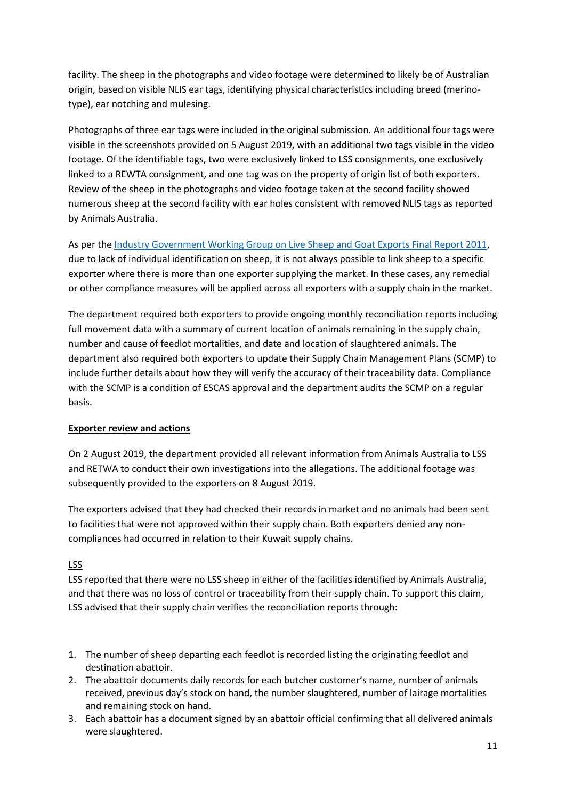facility. The sheep in the photographs and video footage were determined to likely be of Australian origin, based on visible NLIS ear tags, identifying physical characteristics including breed (merinotype), ear notching and mulesing.

Photographs of three ear tags were included in the original submission. An additional four tags were visible in the screenshots provided on 5 August 2019, with an additional two tags visible in the video footage. Of the identifiable tags, two were exclusively linked to LSS consignments, one exclusively linked to a REWTA consignment, and one tag was on the property of origin list of both exporters. Review of the sheep in the photographs and video footage taken at the second facility showed numerous sheep at the second facility with ear holes consistent with removed NLIS tags as reported by Animals Australia.

As per the [Industry Government Working Group on Live Sheep and Goat Exports Final Report 2011,](http://www.agriculture.gov.au/export/controlled-goods/live-animals/livestock/regulatory-framework/acts-regulations-orders-standards/sheep-goats) due to lack of individual identification on sheep, it is not always possible to link sheep to a specific exporter where there is more than one exporter supplying the market. In these cases, any remedial or other compliance measures will be applied across all exporters with a supply chain in the market.

The department required both exporters to provide ongoing monthly reconciliation reports including full movement data with a summary of current location of animals remaining in the supply chain, number and cause of feedlot mortalities, and date and location of slaughtered animals. The department also required both exporters to update their Supply Chain Management Plans (SCMP) to include further details about how they will verify the accuracy of their traceability data. Compliance with the SCMP is a condition of ESCAS approval and the department audits the SCMP on a regular basis.

# **Exporter review and actions**

On 2 August 2019, the department provided all relevant information from Animals Australia to LSS and RETWA to conduct their own investigations into the allegations. The additional footage was subsequently provided to the exporters on 8 August 2019.

The exporters advised that they had checked their records in market and no animals had been sent to facilities that were not approved within their supply chain. Both exporters denied any noncompliances had occurred in relation to their Kuwait supply chains.

# LSS

LSS reported that there were no LSS sheep in either of the facilities identified by Animals Australia, and that there was no loss of control or traceability from their supply chain. To support this claim, LSS advised that their supply chain verifies the reconciliation reports through:

- 1. The number of sheep departing each feedlot is recorded listing the originating feedlot and destination abattoir.
- 2. The abattoir documents daily records for each butcher customer's name, number of animals received, previous day's stock on hand, the number slaughtered, number of lairage mortalities and remaining stock on hand.
- 3. Each abattoir has a document signed by an abattoir official confirming that all delivered animals were slaughtered.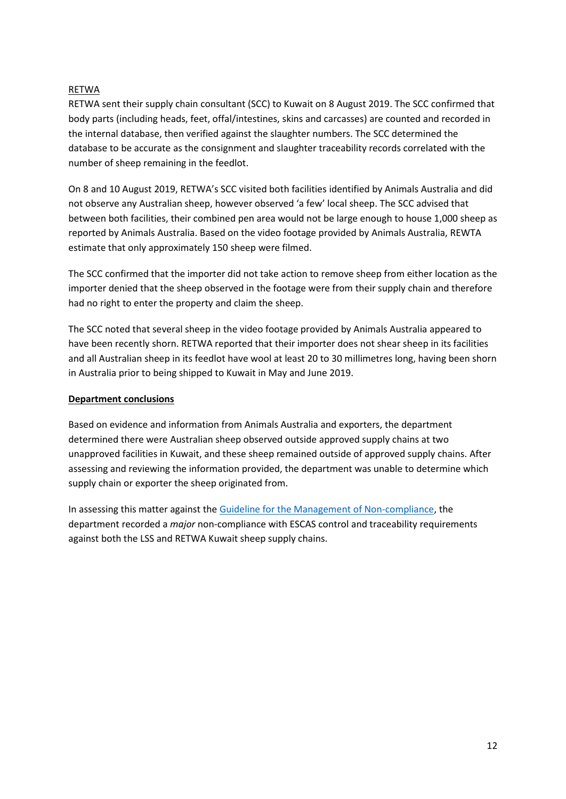# RETWA

RETWA sent their supply chain consultant (SCC) to Kuwait on 8 August 2019. The SCC confirmed that body parts (including heads, feet, offal/intestines, skins and carcasses) are counted and recorded in the internal database, then verified against the slaughter numbers. The SCC determined the database to be accurate as the consignment and slaughter traceability records correlated with the number of sheep remaining in the feedlot.

On 8 and 10 August 2019, RETWA's SCC visited both facilities identified by Animals Australia and did not observe any Australian sheep, however observed 'a few' local sheep. The SCC advised that between both facilities, their combined pen area would not be large enough to house 1,000 sheep as reported by Animals Australia. Based on the video footage provided by Animals Australia, REWTA estimate that only approximately 150 sheep were filmed.

The SCC confirmed that the importer did not take action to remove sheep from either location as the importer denied that the sheep observed in the footage were from their supply chain and therefore had no right to enter the property and claim the sheep.

The SCC noted that several sheep in the video footage provided by Animals Australia appeared to have been recently shorn. RETWA reported that their importer does not shear sheep in its facilities and all Australian sheep in its feedlot have wool at least 20 to 30 millimetres long, having been shorn in Australia prior to being shipped to Kuwait in May and June 2019.

#### **Department conclusions**

Based on evidence and information from Animals Australia and exporters, the department determined there were Australian sheep observed outside approved supply chains at two unapproved facilities in Kuwait, and these sheep remained outside of approved supply chains. After assessing and reviewing the information provided, the department was unable to determine which supply chain or exporter the sheep originated from.

In assessing this matter against the [Guideline for the Management of Non-compliance,](http://www.agriculture.gov.au/export/controlled-goods/live-animals/livestock/regulatory-framework/compliance-investigations/non-compliance) the department recorded a *major* non-compliance with ESCAS control and traceability requirements against both the LSS and RETWA Kuwait sheep supply chains.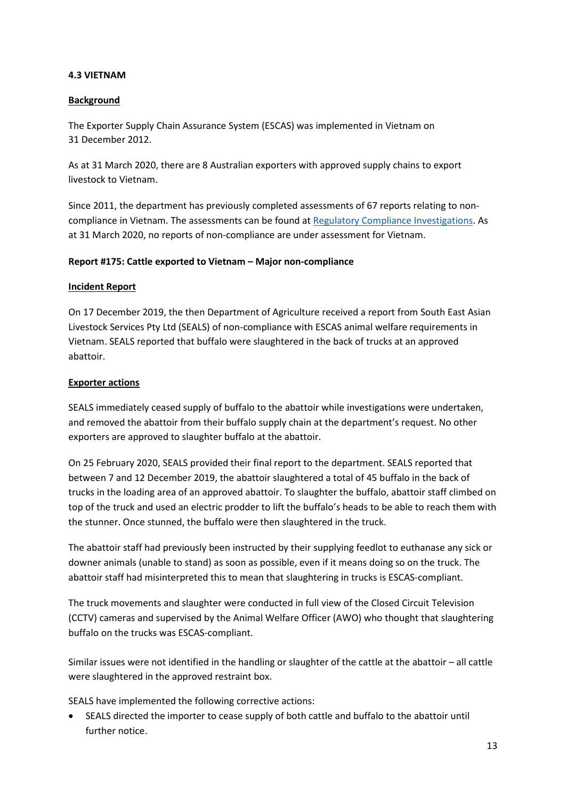#### <span id="page-14-0"></span>**4.3 VIETNAM**

#### <span id="page-14-1"></span>**Background**

The Exporter Supply Chain Assurance System (ESCAS) was implemented in Vietnam on 31 December 2012.

As at 31 March 2020, there are 8 Australian exporters with approved supply chains to export livestock to Vietnam.

Since 2011, the department has previously completed assessments of 67 reports relating to noncompliance in Vietnam. The assessments can be found at [Regulatory Compliance Investigations.](http://www.agriculture.gov.au/export/controlled-goods/live-animals/livestock/regulatory-framework/compliance-investigations/investigations-regulatory-compliance) As at 31 March 2020, no reports of non-compliance are under assessment for Vietnam.

#### <span id="page-14-2"></span>**Report #175: Cattle exported to Vietnam – Major non-compliance**

#### **Incident Report**

On 17 December 2019, the then Department of Agriculture received a report from South East Asian Livestock Services Pty Ltd (SEALS) of non-compliance with ESCAS animal welfare requirements in Vietnam. SEALS reported that buffalo were slaughtered in the back of trucks at an approved abattoir.

#### **Exporter actions**

SEALS immediately ceased supply of buffalo to the abattoir while investigations were undertaken, and removed the abattoir from their buffalo supply chain at the department's request. No other exporters are approved to slaughter buffalo at the abattoir.

On 25 February 2020, SEALS provided their final report to the department. SEALS reported that between 7 and 12 December 2019, the abattoir slaughtered a total of 45 buffalo in the back of trucks in the loading area of an approved abattoir. To slaughter the buffalo, abattoir staff climbed on top of the truck and used an electric prodder to lift the buffalo's heads to be able to reach them with the stunner. Once stunned, the buffalo were then slaughtered in the truck.

The abattoir staff had previously been instructed by their supplying feedlot to euthanase any sick or downer animals (unable to stand) as soon as possible, even if it means doing so on the truck. The abattoir staff had misinterpreted this to mean that slaughtering in trucks is ESCAS-compliant.

The truck movements and slaughter were conducted in full view of the Closed Circuit Television (CCTV) cameras and supervised by the Animal Welfare Officer (AWO) who thought that slaughtering buffalo on the trucks was ESCAS-compliant.

Similar issues were not identified in the handling or slaughter of the cattle at the abattoir – all cattle were slaughtered in the approved restraint box.

SEALS have implemented the following corrective actions:

• SEALS directed the importer to cease supply of both cattle and buffalo to the abattoir until further notice.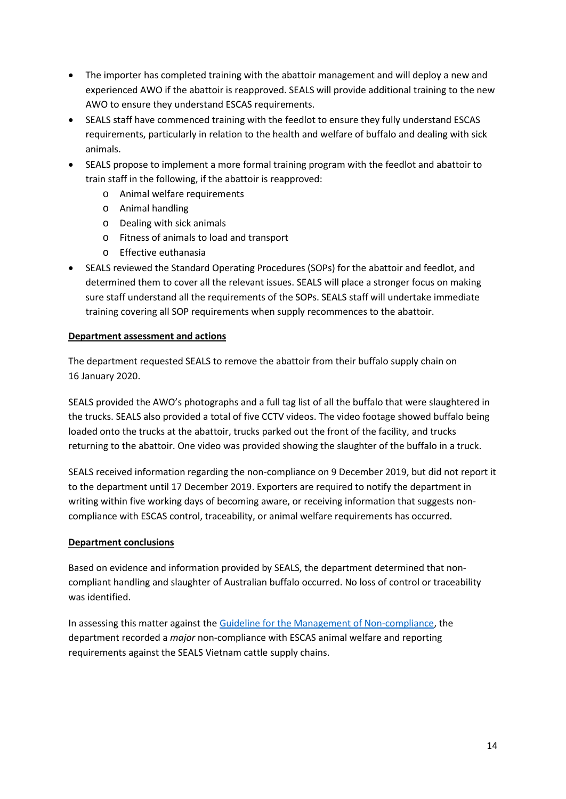- The importer has completed training with the abattoir management and will deploy a new and experienced AWO if the abattoir is reapproved. SEALS will provide additional training to the new AWO to ensure they understand ESCAS requirements.
- SEALS staff have commenced training with the feedlot to ensure they fully understand ESCAS requirements, particularly in relation to the health and welfare of buffalo and dealing with sick animals.
- SEALS propose to implement a more formal training program with the feedlot and abattoir to train staff in the following, if the abattoir is reapproved:
	- o Animal welfare requirements
	- o Animal handling
	- o Dealing with sick animals
	- o Fitness of animals to load and transport
	- o Effective euthanasia
- SEALS reviewed the Standard Operating Procedures (SOPs) for the abattoir and feedlot, and determined them to cover all the relevant issues. SEALS will place a stronger focus on making sure staff understand all the requirements of the SOPs. SEALS staff will undertake immediate training covering all SOP requirements when supply recommences to the abattoir.

#### **Department assessment and actions**

The department requested SEALS to remove the abattoir from their buffalo supply chain on 16 January 2020.

SEALS provided the AWO's photographs and a full tag list of all the buffalo that were slaughtered in the trucks. SEALS also provided a total of five CCTV videos. The video footage showed buffalo being loaded onto the trucks at the abattoir, trucks parked out the front of the facility, and trucks returning to the abattoir. One video was provided showing the slaughter of the buffalo in a truck.

SEALS received information regarding the non-compliance on 9 December 2019, but did not report it to the department until 17 December 2019. Exporters are required to notify the department in writing within five working days of becoming aware, or receiving information that suggests noncompliance with ESCAS control, traceability, or animal welfare requirements has occurred.

# **Department conclusions**

Based on evidence and information provided by SEALS, the department determined that noncompliant handling and slaughter of Australian buffalo occurred. No loss of control or traceability was identified.

In assessing this matter against the [Guideline for the Management of Non-compliance,](http://www.agriculture.gov.au/export/controlled-goods/live-animals/livestock/regulatory-framework/compliance-investigations/non-compliance) the department recorded a *major* non-compliance with ESCAS animal welfare and reporting requirements against the SEALS Vietnam cattle supply chains.